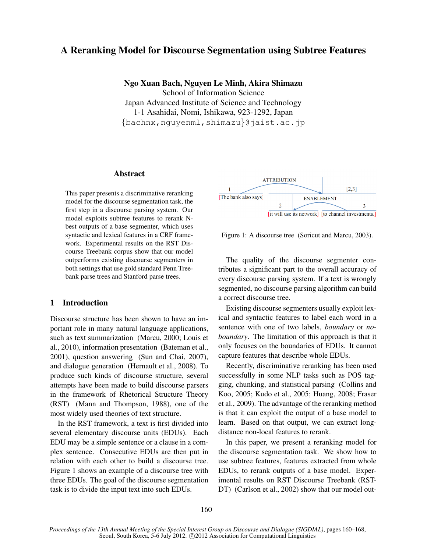# A Reranking Model for Discourse Segmentation using Subtree Features

Ngo Xuan Bach, Nguyen Le Minh, Akira Shimazu

School of Information Science Japan Advanced Institute of Science and Technology 1-1 Asahidai, Nomi, Ishikawa, 923-1292, Japan {bachnx,nguyenml,shimazu}@jaist.ac.jp

### Abstract

This paper presents a discriminative reranking model for the discourse segmentation task, the first step in a discourse parsing system. Our model exploits subtree features to rerank Nbest outputs of a base segmenter, which uses syntactic and lexical features in a CRF framework. Experimental results on the RST Discourse Treebank corpus show that our model outperforms existing discourse segmenters in both settings that use gold standard Penn Treebank parse trees and Stanford parse trees.

## 1 Introduction

Discourse structure has been shown to have an important role in many natural language applications, such as text summarization (Marcu, 2000; Louis et al., 2010), information presentation (Bateman et al., 2001), question answering (Sun and Chai, 2007), and dialogue generation (Hernault et al., 2008). To produce such kinds of discourse structure, several attempts have been made to build discourse parsers in the framework of Rhetorical Structure Theory (RST) (Mann and Thompson, 1988), one of the most widely used theories of text structure.

In the RST framework, a text is first divided into several elementary discourse units (EDUs). Each EDU may be a simple sentence or a clause in a complex sentence. Consecutive EDUs are then put in relation with each other to build a discourse tree. Figure 1 shows an example of a discourse tree with three EDUs. The goal of the discourse segmentation task is to divide the input text into such EDUs.



Figure 1: A discourse tree (Soricut and Marcu, 2003).

The quality of the discourse segmenter contributes a significant part to the overall accuracy of every discourse parsing system. If a text is wrongly segmented, no discourse parsing algorithm can build a correct discourse tree.

Existing discourse segmenters usually exploit lexical and syntactic features to label each word in a sentence with one of two labels, *boundary* or *noboundary*. The limitation of this approach is that it only focuses on the boundaries of EDUs. It cannot capture features that describe whole EDUs.

Recently, discriminative reranking has been used successfully in some NLP tasks such as POS tagging, chunking, and statistical parsing (Collins and Koo, 2005; Kudo et al., 2005; Huang, 2008; Fraser et al., 2009). The advantage of the reranking method is that it can exploit the output of a base model to learn. Based on that output, we can extract longdistance non-local features to rerank.

In this paper, we present a reranking model for the discourse segmentation task. We show how to use subtree features, features extracted from whole EDUs, to rerank outputs of a base model. Experimental results on RST Discourse Treebank (RST-DT) (Carlson et al., 2002) show that our model out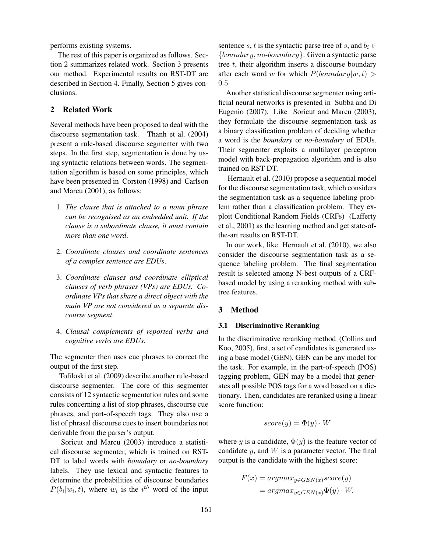performs existing systems.

The rest of this paper is organized as follows. Section 2 summarizes related work. Section 3 presents our method. Experimental results on RST-DT are described in Section 4. Finally, Section 5 gives conclusions.

## 2 Related Work

Several methods have been proposed to deal with the discourse segmentation task. Thanh et al. (2004) present a rule-based discourse segmenter with two steps. In the first step, segmentation is done by using syntactic relations between words. The segmentation algorithm is based on some principles, which have been presented in Corston (1998) and Carlson and Marcu (2001), as follows:

- 1. *The clause that is attached to a noun phrase can be recognised as an embedded unit. If the clause is a subordinate clause, it must contain more than one word*.
- 2. *Coordinate clauses and coordinate sentences of a complex sentence are EDUs*.
- 3. *Coordinate clauses and coordinate elliptical clauses of verb phrases (VPs) are EDUs. Coordinate VPs that share a direct object with the main VP are not considered as a separate discourse segment*.
- 4. *Clausal complements of reported verbs and cognitive verbs are EDUs*.

The segmenter then uses cue phrases to correct the output of the first step.

Tofiloski et al. (2009) describe another rule-based discourse segmenter. The core of this segmenter consists of 12 syntactic segmentation rules and some rules concerning a list of stop phrases, discourse cue phrases, and part-of-speech tags. They also use a list of phrasal discourse cues to insert boundaries not derivable from the parser's output.

Soricut and Marcu (2003) introduce a statistical discourse segmenter, which is trained on RST-DT to label words with *boundary* or *no-boundary* labels. They use lexical and syntactic features to determine the probabilities of discourse boundaries  $P(b_i|w_i, t)$ , where  $w_i$  is the  $i^{th}$  word of the input

sentence s, t is the syntactic parse tree of s, and  $b_i \in$  ${boundary, no-boundary}.$  Given a syntactic parse tree  $t$ , their algorithm inserts a discourse boundary after each word w for which  $P(boundary|w, t)$ 0.5.

Another statistical discourse segmenter using artificial neural networks is presented in Subba and Di Eugenio (2007). Like Soricut and Marcu (2003), they formulate the discourse segmentation task as a binary classification problem of deciding whether a word is the *boundary* or *no-boundary* of EDUs. Their segmenter exploits a multilayer perceptron model with back-propagation algorithm and is also trained on RST-DT.

Hernault et al. (2010) propose a sequential model for the discourse segmentation task, which considers the segmentation task as a sequence labeling problem rather than a classification problem. They exploit Conditional Random Fields (CRFs) (Lafferty et al., 2001) as the learning method and get state-ofthe-art results on RST-DT.

In our work, like Hernault et al. (2010), we also consider the discourse segmentation task as a sequence labeling problem. The final segmentation result is selected among N-best outputs of a CRFbased model by using a reranking method with subtree features.

## 3 Method

### 3.1 Discriminative Reranking

In the discriminative reranking method (Collins and Koo, 2005), first, a set of candidates is generated using a base model (GEN). GEN can be any model for the task. For example, in the part-of-speech (POS) tagging problem, GEN may be a model that generates all possible POS tags for a word based on a dictionary. Then, candidates are reranked using a linear score function:

$$
score(y) = \Phi(y) \cdot W
$$

where y is a candidate,  $\Phi(y)$  is the feature vector of candidate  $y$ , and  $W$  is a parameter vector. The final output is the candidate with the highest score:

$$
F(x) = argmax_{y \in GEN(x)} score(y)
$$
  
= argmax\_{y \in GEN(x)}  $\Phi(y) \cdot W$ .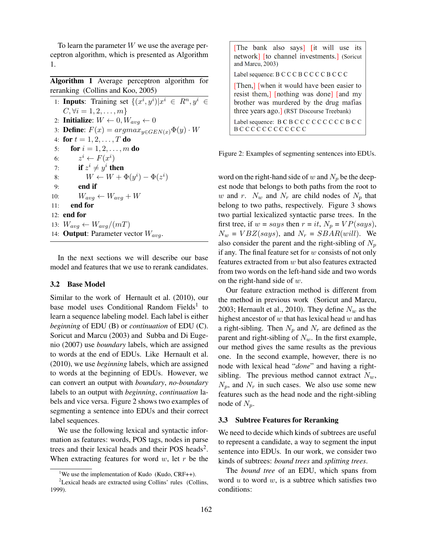To learn the parameter  $W$  we use the average perceptron algorithm, which is presented as Algorithm 1.

Algorithm 1 Average perceptron algorithm for reranking (Collins and Koo, 2005)

1: **Inputs**: Training set  $\{(x^i, y^i)|x^i \in R^n, y^i \in$  $C, \forall i = 1, 2, \ldots, m\}$ 2: **Initialize:**  $W \leftarrow 0, W_{avg} \leftarrow 0$ 3: **Define:**  $F(x) = argmax_{y \in GEN(x)} \Phi(y) \cdot W$ 4: for  $t = 1, 2, ..., T$  do 5: **for**  $i = 1, 2, ..., m$  **do** 6:  $i \leftarrow F(x^i)$ 7: if  $z^i \neq y^i$  then 8:  $W \leftarrow W + \Phi(y^i) - \Phi(z^i)$  $9:$  end if 10:  $W_{avg} \leftarrow W_{avg} + W$ <br>11: **end for** end for 12: end for 13:  $W_{avg} \leftarrow W_{avg}/(mT)$ 14: **Output:** Parameter vector  $W_{avg}$ .

In the next sections we will describe our base model and features that we use to rerank candidates.

### 3.2 Base Model

Similar to the work of Hernault et al. (2010), our base model uses Conditional Random Fields<sup>1</sup> to learn a sequence labeling model. Each label is either *beginning* of EDU (B) or *continuation* of EDU (C). Soricut and Marcu (2003) and Subba and Di Eugenio (2007) use *boundary* labels, which are assigned to words at the end of EDUs. Like Hernault et al. (2010), we use *beginning* labels, which are assigned to words at the beginning of EDUs. However, we can convert an output with *boundary*, *no-boundary* labels to an output with *beginning*, *continuation* labels and vice versa. Figure 2 shows two examples of segmenting a sentence into EDUs and their correct label sequences.

We use the following lexical and syntactic information as features: words, POS tags, nodes in parse trees and their lexical heads and their POS heads<sup>2</sup>. When extracting features for word  $w$ , let  $r$  be the

[The bank also says] [it will use its network] [to channel investments.] (Soricut and Marcu, 2003) Label sequence: B C C C B C C C C B C C C [Then,] when it would have been easier to resist them, [nothing was done] [and my brother was murdered by the drug mafias three years ago.] (RST Discourse Treebank) Label sequence: B C B C C C C C C C C C B C C **BCCCCCCCCCCCC** 

| Figure 2: Examples of segmenting sentences into EDUs. |  |  |  |
|-------------------------------------------------------|--|--|--|
|                                                       |  |  |  |

word on the right-hand side of w and  $N_p$  be the deepest node that belongs to both paths from the root to w and r.  $N_w$  and  $N_r$  are child nodes of  $N_p$  that belong to two paths, respectively. Figure 3 shows two partial lexicalized syntactic parse trees. In the first tree, if  $w = says$  then  $r = it$ ,  $N_p = VP(says)$ ,  $N_w = V BZ(says)$ , and  $N_r = S B A R(will)$ . We also consider the parent and the right-sibling of  $N_p$ if any. The final feature set for  $w$  consists of not only features extracted from w but also features extracted from two words on the left-hand side and two words on the right-hand side of  $w$ .

Our feature extraction method is different from the method in previous work (Soricut and Marcu, 2003; Hernault et al., 2010). They define  $N_w$  as the highest ancestor of  $w$  that has lexical head  $w$  and has a right-sibling. Then  $N_p$  and  $N_r$  are defined as the parent and right-sibling of  $N_w$ . In the first example, our method gives the same results as the previous one. In the second example, however, there is no node with lexical head "*done*" and having a rightsibling. The previous method cannot extract  $N_w$ ,  $N_p$ , and  $N_r$  in such cases. We also use some new features such as the head node and the right-sibling node of  $N_p$ .

### 3.3 Subtree Features for Reranking

We need to decide which kinds of subtrees are useful to represent a candidate, a way to segment the input sentence into EDUs. In our work, we consider two kinds of subtrees: *bound trees* and *splitting trees*.

The *bound tree* of an EDU, which spans from word  $u$  to word  $w$ , is a subtree which satisfies two conditions:

<sup>&</sup>lt;sup>1</sup>We use the implementation of Kudo (Kudo, CRF++).

<sup>&</sup>lt;sup>2</sup>Lexical heads are extracted using Collins' rules (Collins, 1999).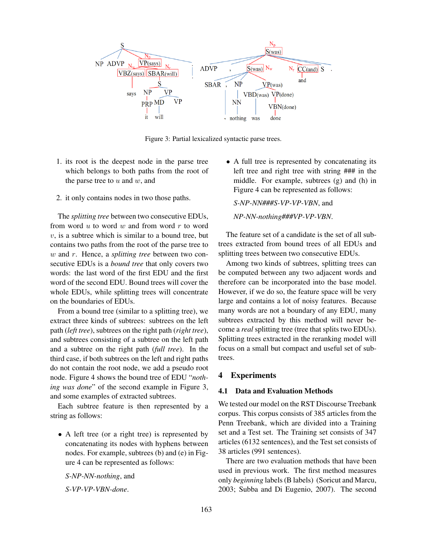

Figure 3: Partial lexicalized syntactic parse trees.

- 1. its root is the deepest node in the parse tree which belongs to both paths from the root of the parse tree to  $u$  and  $w$ , and
- 2. it only contains nodes in two those paths.

The *splitting tree* between two consecutive EDUs, from word  $u$  to word  $w$  and from word  $r$  to word  $v$ , is a subtree which is similar to a bound tree, but contains two paths from the root of the parse tree to w and r. Hence, a *splitting tree* between two consecutive EDUs is a *bound tree* that only covers two words: the last word of the first EDU and the first word of the second EDU. Bound trees will cover the whole EDUs, while splitting trees will concentrate on the boundaries of EDUs.

From a bound tree (similar to a splitting tree), we extract three kinds of subtrees: subtrees on the left path (*left tree*), subtrees on the right path (*right tree*), and subtrees consisting of a subtree on the left path and a subtree on the right path (*full tree*). In the third case, if both subtrees on the left and right paths do not contain the root node, we add a pseudo root node. Figure 4 shows the bound tree of EDU "*nothing was done*" of the second example in Figure 3, and some examples of extracted subtrees.

Each subtree feature is then represented by a string as follows:

• A left tree (or a right tree) is represented by concatenating its nodes with hyphens between nodes. For example, subtrees (b) and (e) in Figure 4 can be represented as follows:

*S-NP-NN-nothing*, and *S-VP-VP-VBN-done*.

• A full tree is represented by concatenating its left tree and right tree with string ### in the middle. For example, subtrees (g) and (h) in Figure 4 can be represented as follows:

*S-NP-NN###S-VP-VP-VBN*, and *NP-NN-nothing###VP-VP-VBN*.

The feature set of a candidate is the set of all subtrees extracted from bound trees of all EDUs and splitting trees between two consecutive EDUs.

Among two kinds of subtrees, splitting trees can be computed between any two adjacent words and therefore can be incorporated into the base model. However, if we do so, the feature space will be very large and contains a lot of noisy features. Because many words are not a boundary of any EDU, many subtrees extracted by this method will never become a *real* splitting tree (tree that splits two EDUs). Splitting trees extracted in the reranking model will focus on a small but compact and useful set of subtrees.

### 4 Experiments

### 4.1 Data and Evaluation Methods

We tested our model on the RST Discourse Treebank corpus. This corpus consists of 385 articles from the Penn Treebank, which are divided into a Training set and a Test set. The Training set consists of 347 articles (6132 sentences), and the Test set consists of 38 articles (991 sentences).

There are two evaluation methods that have been used in previous work. The first method measures only *beginning* labels (B labels) (Soricut and Marcu, 2003; Subba and Di Eugenio, 2007). The second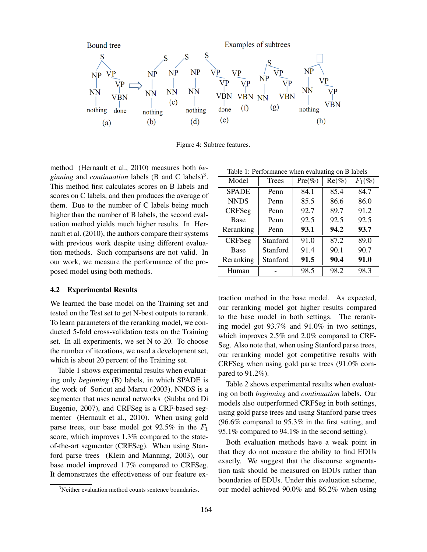

Figure 4: Subtree features.

method (Hernault et al., 2010) measures both *be*ginning and *continuation* labels (B and C labels)<sup>3</sup>. This method first calculates scores on B labels and scores on C labels, and then produces the average of them. Due to the number of C labels being much higher than the number of B labels, the second evaluation method yields much higher results. In Hernault et al. (2010), the authors compare their systems with previous work despite using different evaluation methods. Such comparisons are not valid. In our work, we measure the performance of the proposed model using both methods.

#### 4.2 Experimental Results

We learned the base model on the Training set and tested on the Test set to get N-best outputs to rerank. To learn parameters of the reranking model, we conducted 5-fold cross-validation tests on the Training set. In all experiments, we set N to 20. To choose the number of iterations, we used a development set, which is about 20 percent of the Training set.

Table 1 shows experimental results when evaluating only *beginning* (B) labels, in which SPADE is the work of Soricut and Marcu (2003), NNDS is a segmenter that uses neural networks (Subba and Di Eugenio, 2007), and CRFSeg is a CRF-based segmenter (Hernault et al., 2010). When using gold parse trees, our base model got  $92.5\%$  in the  $F_1$ score, which improves 1.3% compared to the stateof-the-art segmenter (CRFSeg). When using Stanford parse trees (Klein and Manning, 2003), our base model improved 1.7% compared to CRFSeg. It demonstrates the effectiveness of our feature ex-

| Table 1: Performance when evaluating on B labels |          |           |          |           |
|--------------------------------------------------|----------|-----------|----------|-----------|
| Model                                            | Trees    | $Pre(\%)$ | $Re(\%)$ | $F_1(\%)$ |
| <b>SPADE</b>                                     | Penn     | 84.1      | 85.4     | 84.7      |
| <b>NNDS</b>                                      | Penn     | 85.5      | 86.6     | 86.0      |
| <b>CRFSeg</b>                                    | Penn     | 92.7      | 89.7     | 91.2      |
| <b>Base</b>                                      | Penn     | 92.5      | 92.5     | 92.5      |
| Reranking                                        | Penn     | 93.1      | 94.2     | 93.7      |
| <b>CRFSeg</b>                                    | Stanford | 91.0      | 87.2     | 89.0      |
| <b>Base</b>                                      | Stanford | 91.4      | 90.1     | 90.7      |
| Reranking                                        | Stanford | 91.5      | 90.4     | 91.0      |
| Human                                            |          | 98.5      | 98.2     | 98.3      |

traction method in the base model. As expected, our reranking model got higher results compared to the base model in both settings. The reranking model got 93.7% and 91.0% in two settings, which improves 2.5% and 2.0% compared to CRF-Seg. Also note that, when using Stanford parse trees, our reranking model got competitive results with CRFSeg when using gold parse trees (91.0% compared to 91.2%).

Table 2 shows experimental results when evaluating on both *beginning* and *continuation* labels. Our models also outperformed CRFSeg in both settings, using gold parse trees and using Stanford parse trees (96.6% compared to 95.3% in the first setting, and 95.1% compared to 94.1% in the second setting).

Both evaluation methods have a weak point in that they do not measure the ability to find EDUs exactly. We suggest that the discourse segmentation task should be measured on EDUs rather than boundaries of EDUs. Under this evaluation scheme, our model achieved 90.0% and 86.2% when using

<sup>&</sup>lt;sup>3</sup>Neither evaluation method counts sentence boundaries.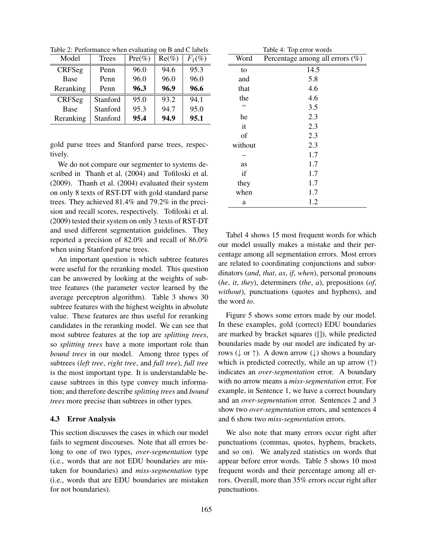| Table 2: Performance when evaluating on B and C labels |  |  |  |  |  |
|--------------------------------------------------------|--|--|--|--|--|
|--------------------------------------------------------|--|--|--|--|--|

| Model         | <b>Trees</b> | $Pre(\%)$ | $Re(\%)$ | $F_1(\%)$ |
|---------------|--------------|-----------|----------|-----------|
| <b>CRFSeg</b> | Penn         | 96.0      | 94.6     | 95.3      |
| Base          | Penn         | 96.0      | 96.0     | 96.0      |
| Reranking     | Penn         | 96.3      | 96.9     | 96.6      |
| <b>CRFSeg</b> | Stanford     | 95.0      | 93.2     | 94.1      |
| <b>Base</b>   | Stanford     | 95.3      | 94.7     | 95.0      |
| Reranking     | Stanford     | 95.4      | 94.9     | 95.1      |

gold parse trees and Stanford parse trees, respectively.

We do not compare our segmenter to systems described in Thanh et al. (2004) and Tofiloski et al. (2009). Thanh et al. (2004) evaluated their system on only 8 texts of RST-DT with gold standard parse trees. They achieved 81.4% and 79.2% in the precision and recall scores, respectively. Tofiloski et al. (2009) tested their system on only 3 texts of RST-DT and used different segmentation guidelines. They reported a precision of 82.0% and recall of 86.0% when using Stanford parse trees.

An important question is which subtree features were useful for the reranking model. This question can be answered by looking at the weights of subtree features (the parameter vector learned by the average perceptron algorithm). Table 3 shows 30 subtree features with the highest weights in absolute value. These features are thus useful for reranking candidates in the reranking model. We can see that most subtree features at the top are *splitting trees*, so *splitting trees* have a more important role than *bound trees* in our model. Among three types of subtrees (*left tree*, *right tree*, and *full tree*), *full tree* is the most important type. It is understandable because subtrees in this type convey much information; and therefore describe *splitting trees* and *bound trees* more precise than subtrees in other types.

#### 4.3 Error Analysis

This section discusses the cases in which our model fails to segment discourses. Note that all errors belong to one of two types, *over-segmentation* type (i.e., words that are not EDU boundaries are mistaken for boundaries) and *miss-segmentation* type (i.e., words that are EDU boundaries are mistaken for not boundaries).

| Table 4: Top error words |                                    |  |
|--------------------------|------------------------------------|--|
| Word                     | Percentage among all errors $(\%)$ |  |
| to                       | 14.5                               |  |
| and                      | 5.8                                |  |
| that                     | 4.6                                |  |
| the                      | 4.6                                |  |
| $\epsilon$               | 3.5                                |  |
| he                       | 2.3                                |  |
| it                       | 2.3                                |  |
| of                       | 2.3                                |  |
| without                  | 2.3                                |  |
|                          | 1.7                                |  |
| as                       | 1.7                                |  |
| if                       | 1.7                                |  |
| they                     | 1.7                                |  |
| when                     | 1.7                                |  |
| a                        | 1.2                                |  |

Tabel 4 shows 15 most frequent words for which our model usually makes a mistake and their percentage among all segmentation errors. Most errors are related to coordinating conjunctions and subordinators (*and*, *that*, *as*, *if*, *when*), personal pronouns (*he*, *it*, *they*), determiners (*the*, *a*), prepositions (*of*, *without*), punctuations (quotes and hyphens), and the word *to*.

Figure 5 shows some errors made by our model. In these examples, gold (correct) EDU boundaries are marked by bracket squares ([]), while predicted boundaries made by our model are indicated by arrows ( $\downarrow$  or  $\uparrow$ ). A down arrow ( $\downarrow$ ) shows a boundary which is predicted correctly, while an up arrow  $(\uparrow)$ indicates an *over-segmentation* error. A boundary with no arrow means a *miss-segmentation* error. For example, in Sentence 1, we have a correct boundary and an *over-segmentation* error. Sentences 2 and 3 show two *over-segmentation* errors, and sentences 4 and 6 show two *miss-segmentation* errors.

We also note that many errors occur right after punctuations (commas, quotes, hyphens, brackets, and so on). We analyzed statistics on words that appear before error words. Table 5 shows 10 most frequent words and their percentage among all errors. Overall, more than 35% errors occur right after punctuations.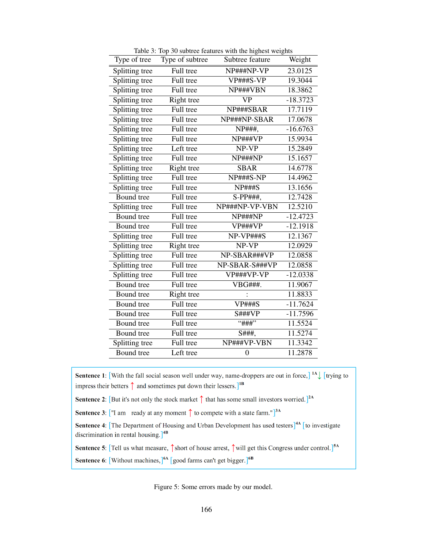| Type of tree      | Type of subtree | Subtree feature          | Weight     |
|-------------------|-----------------|--------------------------|------------|
| Splitting tree    | Full tree       | NP###NP-VP               | 23.0125    |
| Splitting tree    | Full tree       | VP###S-VP                | 19.3044    |
| Splitting tree    | Full tree       | NP###VBN                 | 18.3862    |
| Splitting tree    | Right tree      | <b>VP</b>                | $-18.3723$ |
| Splitting tree    | Full tree       | NP###SBAR                | 17.7119    |
| Splitting tree    | Full tree       | NP###NP-SBAR             | 17.0678    |
| Splitting tree    | Full tree       | NP###,                   | $-16.6763$ |
| Splitting tree    | Full tree       | NP###VP                  | 15.9934    |
| Splitting tree    | Left tree       | NP-VP                    | 15.2849    |
| Splitting tree    | Full tree       | NP###NP                  | 15.1657    |
| Splitting tree    | Right tree      | <b>SBAR</b>              | 14.6778    |
| Splitting tree    | Full tree       | NP###S-NP                | 14.4962    |
| Splitting tree    | Full tree       | <b>NP###S</b>            | 13.1656    |
| <b>Bound</b> tree | Full tree       | $S-PP###$ ,              | 12.7428    |
| Splitting tree    | Full tree       | NP###NP-VP-VBN           | 12.5210    |
| Bound tree        | Full tree       | NP###NP                  | $-12.4723$ |
| Bound tree        | Full tree       | VP###VP                  | $-12.1918$ |
| Splitting tree    | Full tree       | NP-VP###S                | 12.1367    |
| Splitting tree    | Right tree      | NP-VP                    | 12.0929    |
| Splitting tree    | Full tree       | NP-SBAR###VP             | 12.0858    |
| Splitting tree    | Full tree       | NP-SBAR-S###VP           | 12.0858    |
| Splitting tree    | Full tree       | VP###VP-VP               | $-12.0338$ |
| <b>Bound</b> tree | Full tree       | <b>VBG###.</b>           | 11.9067    |
| Bound tree        | Right tree      |                          | 11.8833    |
| Bound tree        | Full tree       | <b>VP###S</b>            | $-11.7624$ |
| Bound tree        | Full tree       | S###VP                   | $-11.7596$ |
| <b>Bound</b> tree | Full tree       | $``\# \overline{\# \#}"$ | 11.5524    |
| <b>Bound</b> tree | Full tree       | S###,                    | 11.5274    |
| Splitting tree    | Full tree       | NP###VP-VBN              | 11.3342    |
| Bound tree        | Left tree       | $\overline{0}$           | 11.2878    |

Table 3: Top 30 subtree features with the highest weights

**Sentence 1:** [With the fall social season well under way, name-droppers are out in force,] <sup>14</sup>  $\downarrow$  [trying to impress their betters  $\uparrow$  and sometimes put down their lessers.  $\left]^{1B}$ 

**Sentence 2:** [But it's not only the stock market  $\uparrow$  that has some small investors worried.]<sup>24</sup>

**Sentence 3:** ["I am ready at any moment  $\uparrow$  to compete with a state farm."]<sup>3A</sup>

Sentence 4: The Department of Housing and Urban Development has used testers<sup>144</sup> [to investigate discrimination in rental housing.  $]^{4B}$ 

**Sentence 5:** [Tell us what measure,  $\uparrow$  short of house arrest,  $\uparrow$  will get this Congress under control.]<sup>5A</sup>

Sentence 6: [Without machines,]<sup>6A</sup> [good farms can't get bigger.]<sup>6B</sup>

Figure 5: Some errors made by our model.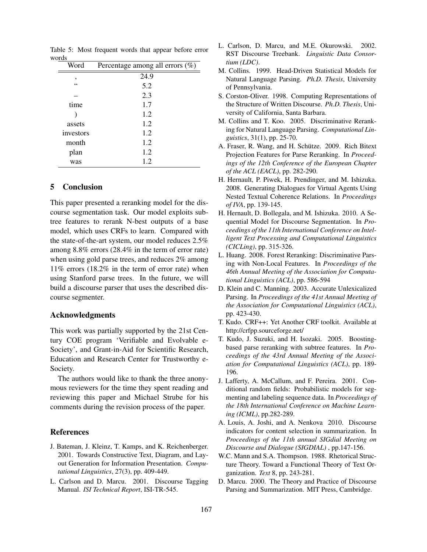| uw        |                                    |  |  |
|-----------|------------------------------------|--|--|
| Word      | Percentage among all errors $(\%)$ |  |  |
| ,         | 24.9                               |  |  |
| 66        | 5.2                                |  |  |
|           | 2.3                                |  |  |
| time      | 1.7                                |  |  |
|           | 1.2                                |  |  |
| assets    | 1.2                                |  |  |
| investors | 1.2                                |  |  |
| month     | 1.2                                |  |  |
| plan      | 1.2                                |  |  |
| was       | 1.2                                |  |  |

Table 5: Most frequent words that appear before error words

### 5 Conclusion

This paper presented a reranking model for the discourse segmentation task. Our model exploits subtree features to rerank N-best outputs of a base model, which uses CRFs to learn. Compared with the state-of-the-art system, our model reduces 2.5% among 8.8% errors (28.4% in the term of error rate) when using gold parse trees, and reduces 2% among 11% errors (18.2% in the term of error rate) when using Stanford parse trees. In the future, we will build a discourse parser that uses the described discourse segmenter.

### Acknowledgments

This work was partially supported by the 21st Century COE program 'Verifiable and Evolvable e-Society', and Grant-in-Aid for Scientific Research, Education and Research Center for Trustworthy e-Society.

The authors would like to thank the three anonymous reviewers for the time they spent reading and reviewing this paper and Michael Strube for his comments during the revision process of the paper.

### References

- J. Bateman, J. Kleinz, T. Kamps, and K. Reichenberger. 2001. Towards Constructive Text, Diagram, and Layout Generation for Information Presentation. *Computational Linguistics*, 27(3), pp. 409-449.
- L. Carlson and D. Marcu. 2001. Discourse Tagging Manual. *ISI Technical Report*, ISI-TR-545.
- L. Carlson, D. Marcu, and M.E. Okurowski. 2002. RST Discourse Treebank. *Linguistic Data Consortium (LDC)*.
- M. Collins. 1999. Head-Driven Statistical Models for Natural Language Parsing. *Ph.D. Thesis*, University of Pennsylvania.
- S. Corston-Oliver. 1998. Computing Representations of the Structure of Written Discourse. *Ph.D. Thesis*, University of California, Santa Barbara.
- M. Collins and T. Koo. 2005. Discriminative Reranking for Natural Language Parsing. *Computational Linguistics*, 31(1), pp. 25-70.
- A. Fraser, R. Wang, and H. Schütze. 2009. Rich Bitext Projection Features for Parse Reranking. In *Proceedings of the 12th Conference of the European Chapter of the ACL (EACL)*, pp. 282-290.
- H. Hernault, P. Piwek, H. Prendinger, and M. Ishizuka. 2008. Generating Dialogues for Virtual Agents Using Nested Textual Coherence Relations. In *Proceedings of IVA*, pp. 139-145.
- H. Hernault, D. Bollegala, and M. Ishizuka. 2010. A Sequential Model for Discourse Segmentation. In *Proceedings of the 11th International Conference on Intelligent Text Processing and Computational Linguistics (CICLing)*, pp. 315-326.
- L. Huang. 2008. Forest Reranking: Discriminative Parsing with Non-Local Features. In *Proceedings of the 46th Annual Meeting of the Association for Computational Linguistics (ACL)*, pp. 586-594
- D. Klein and C. Manning. 2003. Accurate Unlexicalized Parsing. In *Proceedings of the 41st Annual Meeting of the Association for Computational Linguistics (ACL)*, pp. 423-430.
- T. Kudo. CRF++: Yet Another CRF toolkit. Available at http://crfpp.sourceforge.net/
- T. Kudo, J. Suzuki, and H. Isozaki. 2005. Boostingbased parse reranking with subtree features. In *Proceedings of the 43rd Annual Meeting of the Association for Computational Linguistics (ACL)*, pp. 189- 196.
- J. Lafferty, A. McCallum, and F. Pereira. 2001. Conditional random fields: Probabilistic models for segmenting and labeling sequence data. In *Proceedings of the 18th International Conference on Machine Learning (ICML)*, pp.282-289.
- A. Louis, A. Joshi, and A. Nenkova 2010. Discourse indicators for content selection in summarization. In *Proceedings of the 11th annual SIGdial Meeting on Discourse and Dialogue (SIGDIAL)* , pp.147-156.
- W.C. Mann and S.A. Thompson. 1988. Rhetorical Structure Theory. Toward a Functional Theory of Text Organization. *Text* 8, pp. 243-281.
- D. Marcu. 2000. The Theory and Practice of Discourse Parsing and Summarization. MIT Press, Cambridge.